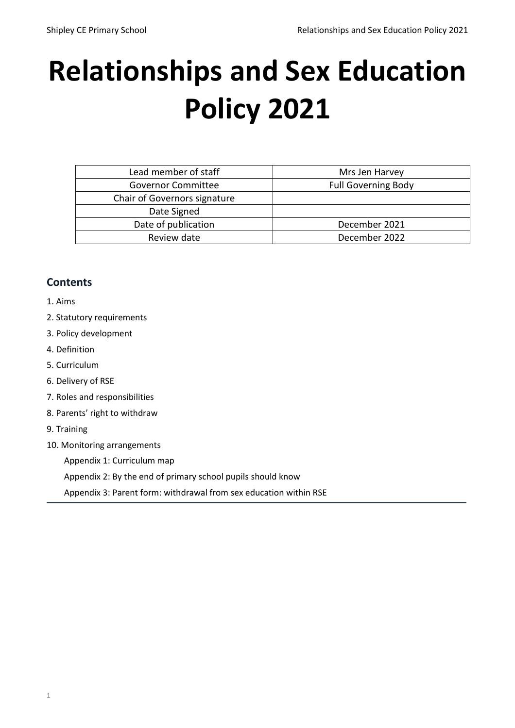# **Relationships and Sex Education Policy 2021**

| Lead member of staff         | Mrs Jen Harvey             |
|------------------------------|----------------------------|
| <b>Governor Committee</b>    | <b>Full Governing Body</b> |
| Chair of Governors signature |                            |
| Date Signed                  |                            |
| Date of publication          | December 2021              |
| Review date                  | December 2022              |
|                              |                            |

# **Contents**

- [1. Aims](#page-0-0)
- [2. Statutory requirements](#page-1-0)
- [3. Policy development](#page-1-1)
- [4. Definition](#page-1-2)
- [5. Curriculum](#page-2-0)
- [6. Delivery of RSE](#page-2-1)
- [7. Roles and responsibilities](#page-2-2)
- [8. Parents' right to withdraw](#page-3-0)
- [9. Training](#page-3-1)
- [10. Monitoring arrangements](#page-3-2)

[Appendix 1: Curriculum map](#page-3-3)

[Appendix 2: By the end of primary school pupils should know](#page-4-0)

<span id="page-0-0"></span>[Appendix 3: Parent form: withdrawal from sex education within RSE](#page-9-0)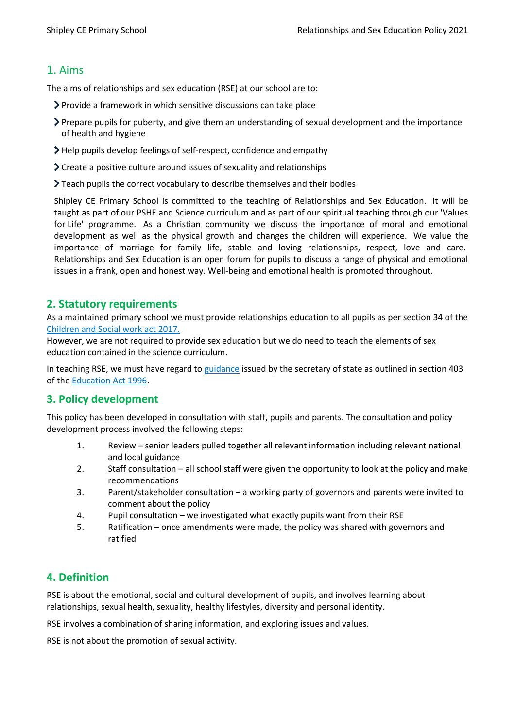# 1. Aims

The aims of relationships and sex education (RSE) at our school are to:

- Provide a framework in which sensitive discussions can take place
- Prepare pupils for puberty, and give them an understanding of sexual development and the importance of health and hygiene
- Help pupils develop feelings of self-respect, confidence and empathy
- Create a positive culture around issues of sexuality and relationships
- Teach pupils the correct vocabulary to describe themselves and their bodies

Shipley CE Primary School is committed to the teaching of Relationships and Sex Education. It will be taught as part of our PSHE and Science curriculum and as part of our spiritual teaching through our 'Values for Life' programme. As a Christian community we discuss the importance of moral and emotional development as well as the physical growth and changes the children will experience. We value the importance of marriage for family life, stable and loving relationships, respect, love and care. Relationships and Sex Education is an open forum for pupils to discuss a range of physical and emotional issues in a frank, open and honest way. Well-being and emotional health is promoted throughout.

#### <span id="page-1-0"></span>**2. Statutory requirements**

As a maintained primary school we must provide relationships education to all pupils as per section 34 of the [Children and Social work act 2017.](http://www.legislation.gov.uk/ukpga/2017/16/section/34/enacted)

However, we are not required to provide sex education but we do need to teach the elements of sex education contained in the science curriculum.

In teaching RSE, we must have regard to [guidance](https://www.gov.uk/government/consultations/relationships-and-sex-education-and-health-education) issued by the secretary of state as outlined in section 403 of the [Education Act 1996.](http://www.legislation.gov.uk/ukpga/1996/56/contents)

# <span id="page-1-1"></span>**3. Policy development**

This policy has been developed in consultation with staff, pupils and parents. The consultation and policy development process involved the following steps:

- 1. Review senior leaders pulled together all relevant information including relevant national and local guidance
- 2. Staff consultation all school staff were given the opportunity to look at the policy and make recommendations
- 3. Parent/stakeholder consultation a working party of governors and parents were invited to comment about the policy
- 4. Pupil consultation we investigated what exactly pupils want from their RSE
- 5. Ratification once amendments were made, the policy was shared with governors and ratified

# <span id="page-1-2"></span>**4. Definition**

RSE is about the emotional, social and cultural development of pupils, and involves learning about relationships, sexual health, sexuality, healthy lifestyles, diversity and personal identity.

RSE involves a combination of sharing information, and exploring issues and values.

RSE is not about the promotion of sexual activity.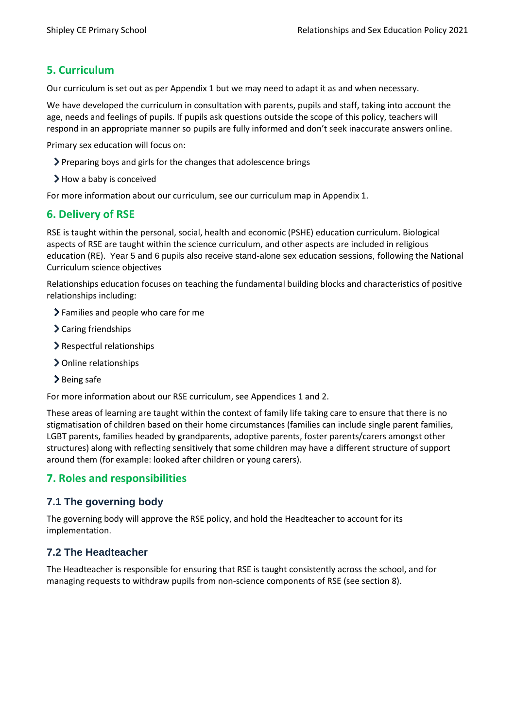# <span id="page-2-0"></span>**5. Curriculum**

Our curriculum is set out as per Appendix 1 but we may need to adapt it as and when necessary.

We have developed the curriculum in consultation with parents, pupils and staff, taking into account the age, needs and feelings of pupils. If pupils ask questions outside the scope of this policy, teachers will respond in an appropriate manner so pupils are fully informed and don't seek inaccurate answers online.

Primary sex education will focus on:

- Preparing boys and girls for the changes that adolescence brings
- $\blacktriangleright$  How a baby is conceived

For more information about our curriculum, see our curriculum map in Appendix 1.

#### <span id="page-2-1"></span>**6. Delivery of RSE**

RSE is taught within the personal, social, health and economic (PSHE) education curriculum. Biological aspects of RSE are taught within the science curriculum, and other aspects are included in religious education (RE). Year 5 and 6 pupils also receive stand-alone sex education sessions, following the National Curriculum science objectives

Relationships education focuses on teaching the fundamental building blocks and characteristics of positive relationships including:

- Families and people who care for me
- > Caring friendships
- Respectful relationships
- > Online relationships
- > Being safe

For more information about our RSE curriculum, see Appendices 1 and 2.

These areas of learning are taught within the context of family life taking care to ensure that there is no stigmatisation of children based on their home circumstances (families can include single parent families, LGBT parents, families headed by grandparents, adoptive parents, foster parents/carers amongst other structures) along with reflecting sensitively that some children may have a different structure of support around them (for example: looked after children or young carers).

# <span id="page-2-2"></span>**7. Roles and responsibilities**

#### **7.1 The governing body**

The governing body will approve the RSE policy, and hold the Headteacher to account for its implementation.

#### **7.2 The Headteacher**

The Headteacher is responsible for ensuring that RSE is taught consistently across the school, and for managing requests to withdraw pupils from non-science components of RSE (see section 8).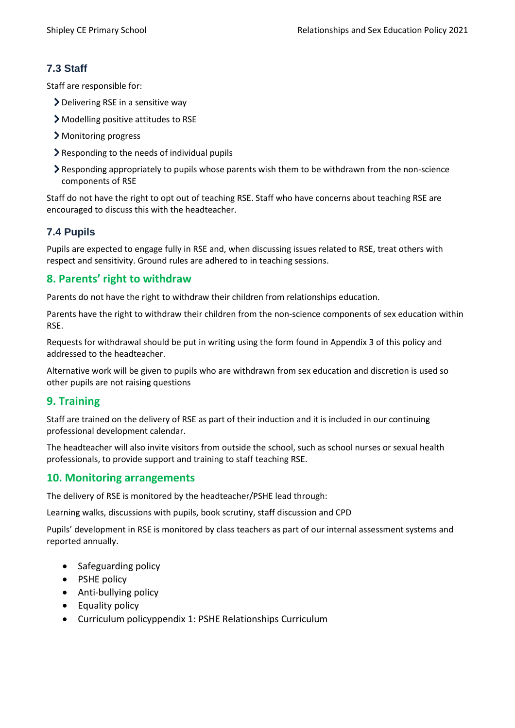# **7.3 Staff**

Staff are responsible for:

- Delivering RSE in a sensitive way
- Modelling positive attitudes to RSE
- > Monitoring progress
- Responding to the needs of individual pupils
- Responding appropriately to pupils whose parents wish them to be withdrawn from the non-science components of RSE

Staff do not have the right to opt out of teaching RSE. Staff who have concerns about teaching RSE are encouraged to discuss this with the headteacher.

# **7.4 Pupils**

<span id="page-3-0"></span>Pupils are expected to engage fully in RSE and, when discussing issues related to RSE, treat others with respect and sensitivity. Ground rules are adhered to in teaching sessions.

#### **8. Parents' right to withdraw**

Parents do not have the right to withdraw their children from relationships education.

Parents have the right to withdraw their children from the non-science components of sex education within RSE.

Requests for withdrawal should be put in writing using the form found in Appendix 3 of this policy and addressed to the headteacher.

Alternative work will be given to pupils who are withdrawn from sex education and discretion is used so other pupils are not raising questions

# <span id="page-3-1"></span>**9. Training**

Staff are trained on the delivery of RSE as part of their induction and it is included in our continuing professional development calendar.

The headteacher will also invite visitors from outside the school, such as school nurses or sexual health professionals, to provide support and training to staff teaching RSE.

# <span id="page-3-2"></span>**10. Monitoring arrangements**

The delivery of RSE is monitored by the headteacher/PSHE lead through:

Learning walks, discussions with pupils, book scrutiny, staff discussion and CPD

Pupils' development in RSE is monitored by class teachers as part of our internal assessment systems and reported annually.

- Safeguarding policy
- PSHE policy
- Anti-bullying policy
- Equality policy
- <span id="page-3-3"></span>Curriculum policyppendix 1: PSHE Relationships Curriculum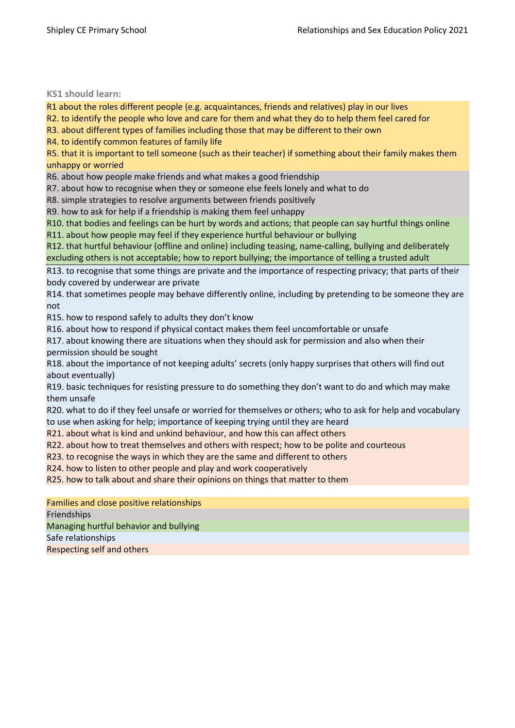#### <span id="page-4-0"></span>**KS1 should learn:**

R1 about the roles different people (e.g. acquaintances, friends and relatives) play in our lives

R2. to identify the people who love and care for them and what they do to help them feel cared for

R3. about different types of families including those that may be different to their own

R4. to identify common features of family life

R5. that it is important to tell someone (such as their teacher) if something about their family makes them unhappy or worried

R6. about how people make friends and what makes a good friendship

R7. about how to recognise when they or someone else feels lonely and what to do

R8. simple strategies to resolve arguments between friends positively

R9. how to ask for help if a friendship is making them feel unhappy

R10. that bodies and feelings can be hurt by words and actions; that people can say hurtful things online R11. about how people may feel if they experience hurtful behaviour or bullying

R12. that hurtful behaviour (offline and online) including teasing, name-calling, bullying and deliberately excluding others is not acceptable; how to report bullying; the importance of telling a trusted adult

R13. to recognise that some things are private and the importance of respecting privacy; that parts of their body covered by underwear are private

R14. that sometimes people may behave differently online, including by pretending to be someone they are not

R15. how to respond safely to adults they don't know

R16. about how to respond if physical contact makes them feel uncomfortable or unsafe

R17. about knowing there are situations when they should ask for permission and also when their permission should be sought

R18. about the importance of not keeping adults' secrets (only happy surprises that others will find out about eventually)

R19. basic techniques for resisting pressure to do something they don't want to do and which may make them unsafe

R20. what to do if they feel unsafe or worried for themselves or others; who to ask for help and vocabulary to use when asking for help; importance of keeping trying until they are heard

R21. about what is kind and unkind behaviour, and how this can affect others

R22. about how to treat themselves and others with respect; how to be polite and courteous

R23. to recognise the ways in which they are the same and different to others

R24. how to listen to other people and play and work cooperatively

R25. how to talk about and share their opinions on things that matter to them

Families and close positive relationships Friendships Managing hurtful behavior and bullying Safe relationships Respecting self and others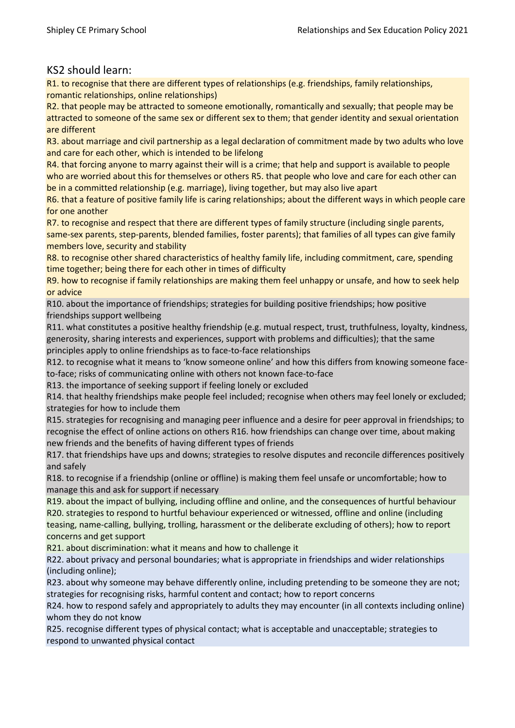#### KS2 should learn:

R1. to recognise that there are different types of relationships (e.g. friendships, family relationships, romantic relationships, online relationships)

R2. that people may be attracted to someone emotionally, romantically and sexually; that people may be attracted to someone of the same sex or different sex to them; that gender identity and sexual orientation are different

R3. about marriage and civil partnership as a legal declaration of commitment made by two adults who love and care for each other, which is intended to be lifelong

R4. that forcing anyone to marry against their will is a crime; that help and support is available to people who are worried about this for themselves or others R5. that people who love and care for each other can be in a committed relationship (e.g. marriage), living together, but may also live apart

R6. that a feature of positive family life is caring relationships; about the different ways in which people care for one another

R7. to recognise and respect that there are different types of family structure (including single parents, same-sex parents, step-parents, blended families, foster parents); that families of all types can give family members love, security and stability

R8. to recognise other shared characteristics of healthy family life, including commitment, care, spending time together; being there for each other in times of difficulty

R9. how to recognise if family relationships are making them feel unhappy or unsafe, and how to seek help or advice

R10. about the importance of friendships; strategies for building positive friendships; how positive friendships support wellbeing

R11. what constitutes a positive healthy friendship (e.g. mutual respect, trust, truthfulness, loyalty, kindness, generosity, sharing interests and experiences, support with problems and difficulties); that the same principles apply to online friendships as to face-to-face relationships

R12. to recognise what it means to 'know someone online' and how this differs from knowing someone faceto-face; risks of communicating online with others not known face-to-face

R13. the importance of seeking support if feeling lonely or excluded

R14. that healthy friendships make people feel included; recognise when others may feel lonely or excluded; strategies for how to include them

R15. strategies for recognising and managing peer influence and a desire for peer approval in friendships; to recognise the effect of online actions on others R16. how friendships can change over time, about making new friends and the benefits of having different types of friends

R17. that friendships have ups and downs; strategies to resolve disputes and reconcile differences positively and safely

R18. to recognise if a friendship (online or offline) is making them feel unsafe or uncomfortable; how to manage this and ask for support if necessary

R19. about the impact of bullying, including offline and online, and the consequences of hurtful behaviour R20. strategies to respond to hurtful behaviour experienced or witnessed, offline and online (including teasing, name-calling, bullying, trolling, harassment or the deliberate excluding of others); how to report concerns and get support

R21. about discrimination: what it means and how to challenge it

R22. about privacy and personal boundaries; what is appropriate in friendships and wider relationships (including online);

R23. about why someone may behave differently online, including pretending to be someone they are not; strategies for recognising risks, harmful content and contact; how to report concerns

R24. how to respond safely and appropriately to adults they may encounter (in all contexts including online) whom they do not know

R25. recognise different types of physical contact; what is acceptable and unacceptable; strategies to respond to unwanted physical contact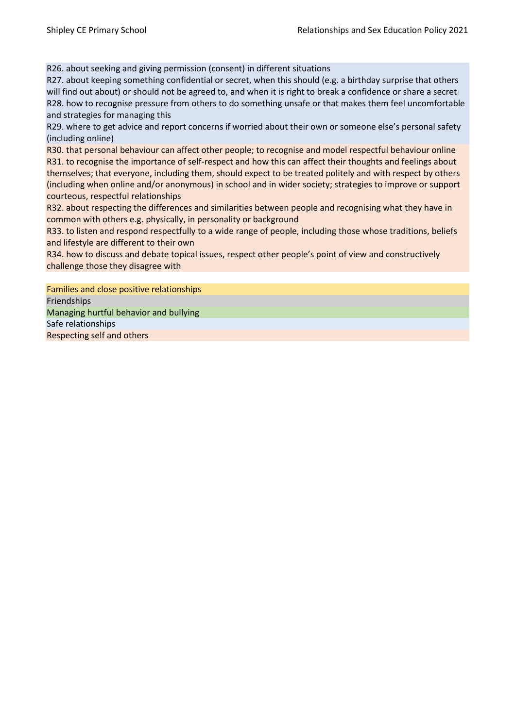R26. about seeking and giving permission (consent) in different situations

R27. about keeping something confidential or secret, when this should (e.g. a birthday surprise that others will find out about) or should not be agreed to, and when it is right to break a confidence or share a secret R28. how to recognise pressure from others to do something unsafe or that makes them feel uncomfortable and strategies for managing this

R29. where to get advice and report concerns if worried about their own or someone else's personal safety (including online)

R30. that personal behaviour can affect other people; to recognise and model respectful behaviour online R31. to recognise the importance of self-respect and how this can affect their thoughts and feelings about themselves; that everyone, including them, should expect to be treated politely and with respect by others (including when online and/or anonymous) in school and in wider society; strategies to improve or support courteous, respectful relationships

R32. about respecting the differences and similarities between people and recognising what they have in common with others e.g. physically, in personality or background

R33. to listen and respond respectfully to a wide range of people, including those whose traditions, beliefs and lifestyle are different to their own

R34. how to discuss and debate topical issues, respect other people's point of view and constructively challenge those they disagree with

Families and close positive relationships Friendships Managing hurtful behavior and bullying Safe relationships Respecting self and others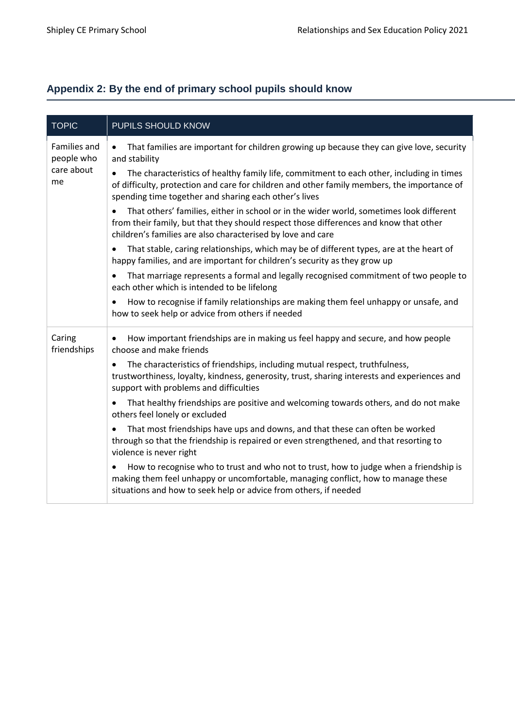# **Appendix 2: By the end of primary school pupils should know**

| <b>TOPIC</b>                      | PUPILS SHOULD KNOW                                                                                                                                                                                                                                           |
|-----------------------------------|--------------------------------------------------------------------------------------------------------------------------------------------------------------------------------------------------------------------------------------------------------------|
| <b>Families and</b><br>people who | That families are important for children growing up because they can give love, security<br>and stability                                                                                                                                                    |
| care about<br>me                  | The characteristics of healthy family life, commitment to each other, including in times<br>of difficulty, protection and care for children and other family members, the importance of<br>spending time together and sharing each other's lives             |
|                                   | That others' families, either in school or in the wider world, sometimes look different<br>$\bullet$<br>from their family, but that they should respect those differences and know that other<br>children's families are also characterised by love and care |
|                                   | That stable, caring relationships, which may be of different types, are at the heart of<br>happy families, and are important for children's security as they grow up                                                                                         |
|                                   | That marriage represents a formal and legally recognised commitment of two people to<br>each other which is intended to be lifelong                                                                                                                          |
|                                   | How to recognise if family relationships are making them feel unhappy or unsafe, and<br>how to seek help or advice from others if needed                                                                                                                     |
| Caring<br>friendships             | How important friendships are in making us feel happy and secure, and how people<br>choose and make friends                                                                                                                                                  |
|                                   | The characteristics of friendships, including mutual respect, truthfulness,<br>$\bullet$<br>trustworthiness, loyalty, kindness, generosity, trust, sharing interests and experiences and<br>support with problems and difficulties                           |
|                                   | That healthy friendships are positive and welcoming towards others, and do not make<br>others feel lonely or excluded                                                                                                                                        |
|                                   | That most friendships have ups and downs, and that these can often be worked<br>through so that the friendship is repaired or even strengthened, and that resorting to<br>violence is never right                                                            |
|                                   | How to recognise who to trust and who not to trust, how to judge when a friendship is<br>making them feel unhappy or uncomfortable, managing conflict, how to manage these<br>situations and how to seek help or advice from others, if needed               |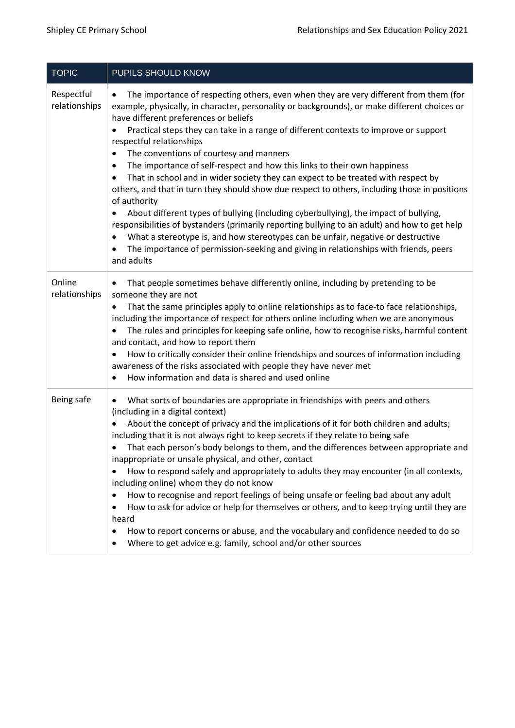| <b>TOPIC</b>                | PUPILS SHOULD KNOW                                                                                                                                                                                                                                                                                                                                                                                                                                                                                                                                                                                                                                                                                                                                                                                                                                                                                                                                                                                                                                                                                                       |
|-----------------------------|--------------------------------------------------------------------------------------------------------------------------------------------------------------------------------------------------------------------------------------------------------------------------------------------------------------------------------------------------------------------------------------------------------------------------------------------------------------------------------------------------------------------------------------------------------------------------------------------------------------------------------------------------------------------------------------------------------------------------------------------------------------------------------------------------------------------------------------------------------------------------------------------------------------------------------------------------------------------------------------------------------------------------------------------------------------------------------------------------------------------------|
| Respectful<br>relationships | The importance of respecting others, even when they are very different from them (for<br>$\bullet$<br>example, physically, in character, personality or backgrounds), or make different choices or<br>have different preferences or beliefs<br>Practical steps they can take in a range of different contexts to improve or support<br>$\bullet$<br>respectful relationships<br>The conventions of courtesy and manners<br>٠<br>The importance of self-respect and how this links to their own happiness<br>٠<br>That in school and in wider society they can expect to be treated with respect by<br>others, and that in turn they should show due respect to others, including those in positions<br>of authority<br>About different types of bullying (including cyberbullying), the impact of bullying,<br>$\bullet$<br>responsibilities of bystanders (primarily reporting bullying to an adult) and how to get help<br>What a stereotype is, and how stereotypes can be unfair, negative or destructive<br>٠<br>The importance of permission-seeking and giving in relationships with friends, peers<br>and adults |
| Online<br>relationships     | That people sometimes behave differently online, including by pretending to be<br>someone they are not<br>That the same principles apply to online relationships as to face-to face relationships,<br>$\bullet$<br>including the importance of respect for others online including when we are anonymous<br>The rules and principles for keeping safe online, how to recognise risks, harmful content<br>and contact, and how to report them<br>How to critically consider their online friendships and sources of information including<br>awareness of the risks associated with people they have never met<br>How information and data is shared and used online                                                                                                                                                                                                                                                                                                                                                                                                                                                      |
| Being safe                  | What sorts of boundaries are appropriate in friendships with peers and others<br>٠<br>(including in a digital context)<br>About the concept of privacy and the implications of it for both children and adults;<br>including that it is not always right to keep secrets if they relate to being safe<br>That each person's body belongs to them, and the differences between appropriate and<br>inappropriate or unsafe physical, and other, contact<br>How to respond safely and appropriately to adults they may encounter (in all contexts,<br>٠<br>including online) whom they do not know<br>How to recognise and report feelings of being unsafe or feeling bad about any adult<br>٠<br>How to ask for advice or help for themselves or others, and to keep trying until they are<br>heard<br>How to report concerns or abuse, and the vocabulary and confidence needed to do so<br>٠<br>Where to get advice e.g. family, school and/or other sources                                                                                                                                                             |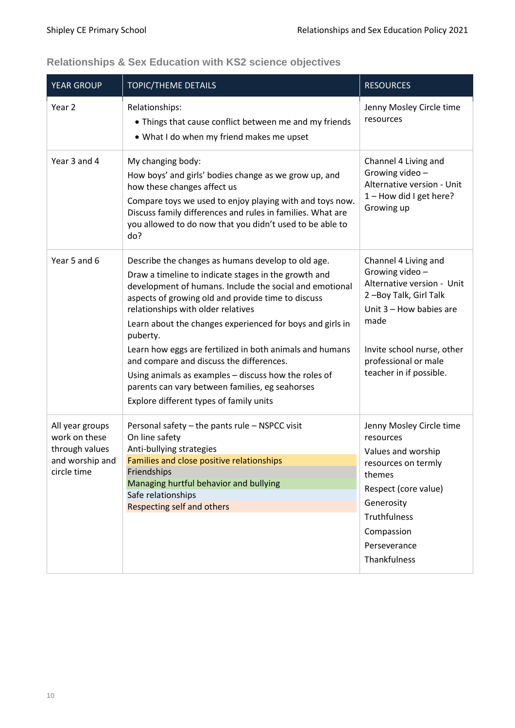<span id="page-9-0"></span>

| <b>Relationships &amp; Sex Education with KS2 science objectives</b> |  |  |  |
|----------------------------------------------------------------------|--|--|--|
|----------------------------------------------------------------------|--|--|--|

| <b>YEAR GROUP</b>                                                                    | <b>TOPIC/THEME DETAILS</b>                                                                                                                                                                                                                                                                                                                                                                                                                                                                                                                                                                               | <b>RESOURCES</b>                                                                                                                                                                                                    |
|--------------------------------------------------------------------------------------|----------------------------------------------------------------------------------------------------------------------------------------------------------------------------------------------------------------------------------------------------------------------------------------------------------------------------------------------------------------------------------------------------------------------------------------------------------------------------------------------------------------------------------------------------------------------------------------------------------|---------------------------------------------------------------------------------------------------------------------------------------------------------------------------------------------------------------------|
| Year 2                                                                               | Relationships:<br>• Things that cause conflict between me and my friends<br>• What I do when my friend makes me upset                                                                                                                                                                                                                                                                                                                                                                                                                                                                                    | Jenny Mosley Circle time<br>resources                                                                                                                                                                               |
| Year 3 and 4                                                                         | My changing body:<br>How boys' and girls' bodies change as we grow up, and<br>how these changes affect us<br>Compare toys we used to enjoy playing with and toys now.<br>Discuss family differences and rules in families. What are<br>you allowed to do now that you didn't used to be able to<br>do?                                                                                                                                                                                                                                                                                                   | Channel 4 Living and<br>Growing video -<br>Alternative version - Unit<br>1-How did I get here?<br>Growing up                                                                                                        |
| Year 5 and 6                                                                         | Describe the changes as humans develop to old age.<br>Draw a timeline to indicate stages in the growth and<br>development of humans. Include the social and emotional<br>aspects of growing old and provide time to discuss<br>relationships with older relatives<br>Learn about the changes experienced for boys and girls in<br>puberty.<br>Learn how eggs are fertilized in both animals and humans<br>and compare and discuss the differences.<br>Using animals as examples - discuss how the roles of<br>parents can vary between families, eg seahorses<br>Explore different types of family units | Channel 4 Living and<br>Growing video-<br>Alternative version - Unit<br>2-Boy Talk, Girl Talk<br>Unit $3 -$ How babies are<br>made<br>Invite school nurse, other<br>professional or male<br>teacher in if possible. |
| All year groups<br>work on these<br>through values<br>and worship and<br>circle time | Personal safety - the pants rule - NSPCC visit<br>On line safety<br>Anti-bullying strategies<br>Families and close positive relationships<br>Friendships<br>Managing hurtful behavior and bullying<br>Safe relationships<br><b>Respecting self and others</b>                                                                                                                                                                                                                                                                                                                                            | Jenny Mosley Circle time<br>resources<br>Values and worship<br>resources on termly<br>themes<br>Respect (core value)<br>Generosity<br><b>Truthfulness</b><br>Compassion<br>Perseverance<br>Thankfulness             |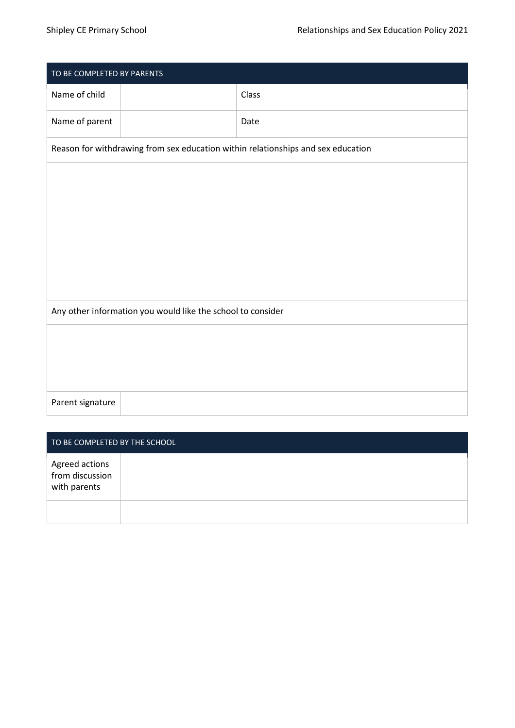| TO BE COMPLETED BY PARENTS                                  |                                                                                  |       |  |
|-------------------------------------------------------------|----------------------------------------------------------------------------------|-------|--|
| Name of child                                               |                                                                                  | Class |  |
| Name of parent                                              |                                                                                  | Date  |  |
|                                                             | Reason for withdrawing from sex education within relationships and sex education |       |  |
|                                                             |                                                                                  |       |  |
|                                                             |                                                                                  |       |  |
|                                                             |                                                                                  |       |  |
|                                                             |                                                                                  |       |  |
|                                                             |                                                                                  |       |  |
| Any other information you would like the school to consider |                                                                                  |       |  |
|                                                             |                                                                                  |       |  |
|                                                             |                                                                                  |       |  |
|                                                             |                                                                                  |       |  |
| Parent signature                                            |                                                                                  |       |  |

| TO BE COMPLETED BY THE SCHOOL                     |  |
|---------------------------------------------------|--|
| Agreed actions<br>from discussion<br>with parents |  |
|                                                   |  |